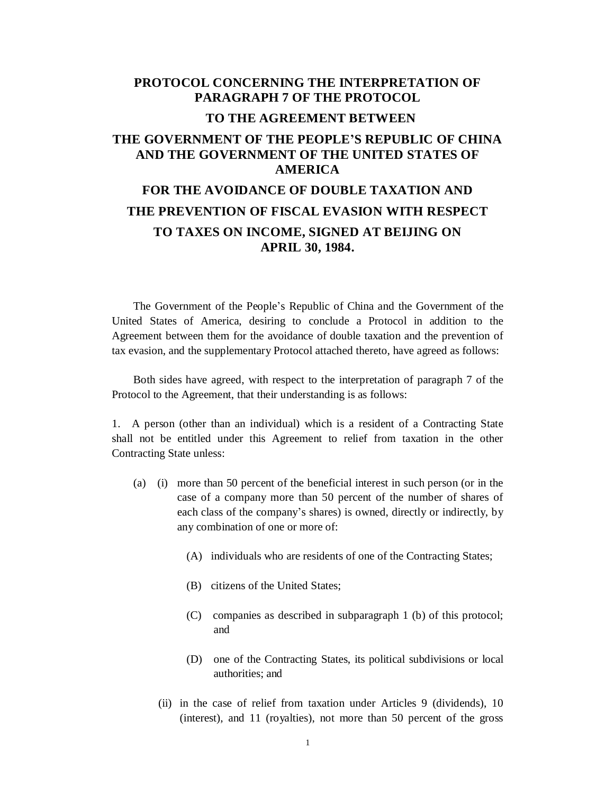## **PROTOCOL CONCERNING THE INTERPRETATION OF PARAGRAPH 7 OF THE PROTOCOL TO THE AGREEMENT BETWEEN THE GOVERNMENT OF THE PEOPLE'S REPUBLIC OF CHINA AND THE GOVERNMENT OF THE UNITED STATES OF AMERICA FOR THE AVOIDANCE OF DOUBLE TAXATION AND**

## **THE PREVENTION OF FISCAL EVASION WITH RESPECT TO TAXES ON INCOME, SIGNED AT BEIJING ON APRIL 30, 1984.**

The Government of the People's Republic of China and the Government of the United States of America, desiring to conclude a Protocol in addition to the Agreement between them for the avoidance of double taxation and the prevention of tax evasion, and the supplementary Protocol attached thereto, have agreed as follows:

Both sides have agreed, with respect to the interpretation of paragraph 7 of the Protocol to the Agreement, that their understanding is as follows:

1. A person (other than an individual) which is a resident of a Contracting State shall not be entitled under this Agreement to relief from taxation in the other Contracting State unless:

- (a) (i) more than 50 percent of the beneficial interest in such person (or in the case of a company more than 50 percent of the number of shares of each class of the company's shares) is owned, directly or indirectly, by any combination of one or more of:
	- (A) individuals who are residents of one of the Contracting States;
	- (B) citizens of the United States;
	- (C) companies as described in subparagraph 1 (b) of this protocol; and
	- (D) one of the Contracting States, its political subdivisions or local authorities; and
	- (ii) in the case of relief from taxation under Articles 9 (dividends), 10 (interest), and 11 (royalties), not more than 50 percent of the gross